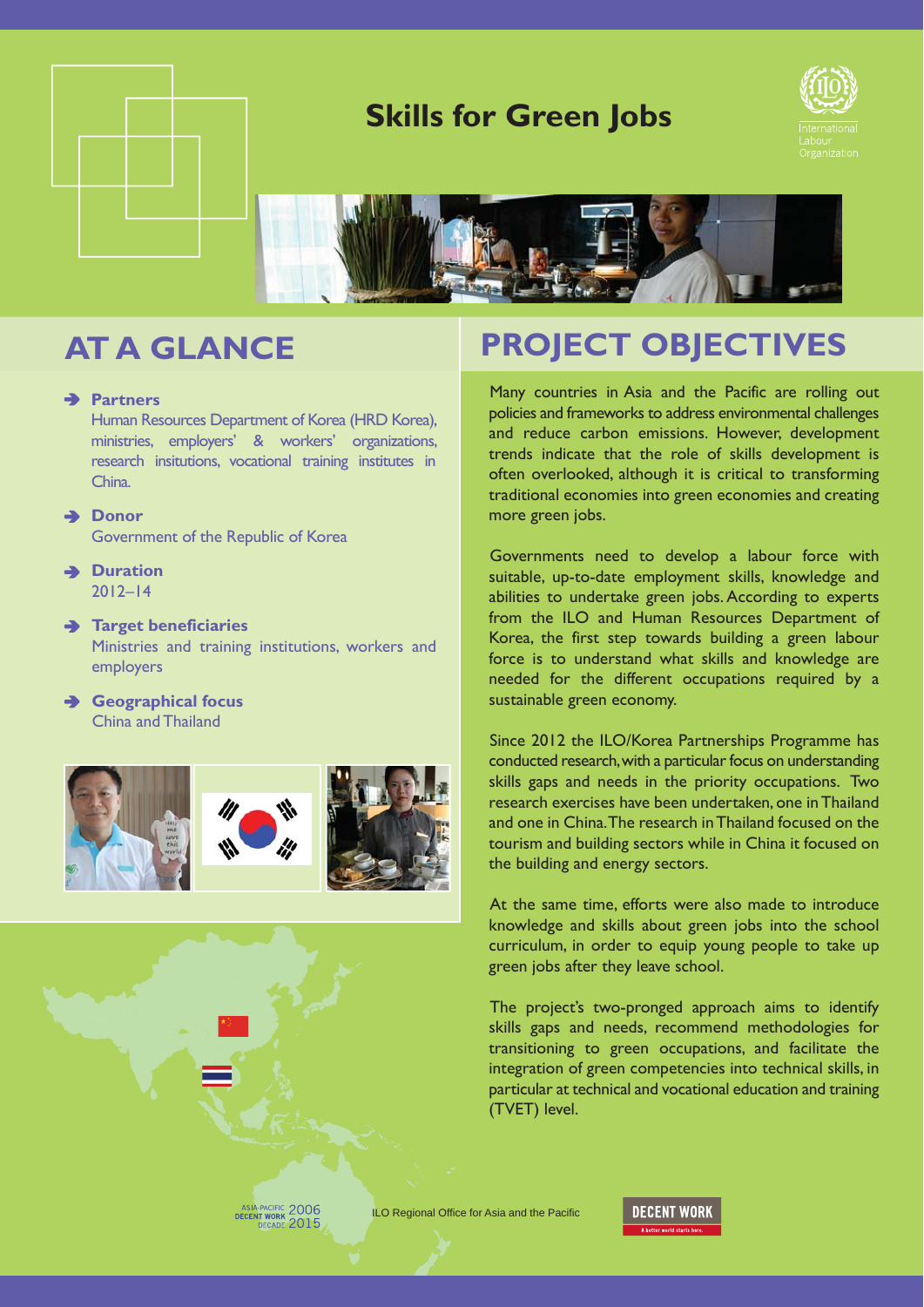

## **Skills for Green Jobs**





### **Partners**

Human Resources Department of Korea (HRD Korea), ministries, employers' & workers' organizations, research insitutions, vocational training institutes in China.

### **→ Donor**

Government of the Republic of Korea

**Duration** 2012–14

### **Target beneficiaries**

Ministries and training institutions, workers and employers

**Geographical focus** China and Thailand



# **AT A GLANCE PROJECT OBJECTIVES**

Many countries in Asia and the Pacific are rolling out policies and frameworks to address environmental challenges and reduce carbon emissions. However, development trends indicate that the role of skills development is often overlooked, although it is critical to transforming traditional economies into green economies and creating more green jobs.

Governments need to develop a labour force with suitable, up-to-date employment skills, knowledge and abilities to undertake green jobs. According to experts from the ILO and Human Resources Department of Korea, the first step towards building a green labour force is to understand what skills and knowledge are needed for the different occupations required by a sustainable green economy.

Since 2012 the ILO/Korea Partnerships Programme has conducted research, with a particular focus on understanding skills gaps and needs in the priority occupations. Two research exercises have been undertaken, one in Thailand and one in China. The research in Thailand focused on the tourism and building sectors while in China it focused on the building and energy sectors.

At the same time, efforts were also made to introduce knowledge and skills about green jobs into the school curriculum, in order to equip young people to take up green jobs after they leave school.

The project's two-pronged approach aims to identify skills gaps and needs, recommend methodologies for transitioning to green occupations, and facilitate the integration of green competencies into technical skills, in particular at technical and vocational education and training (TVET) level.

**ILO Regional Office for Asia and the Pacific<br>
PECERT WORK 2015**